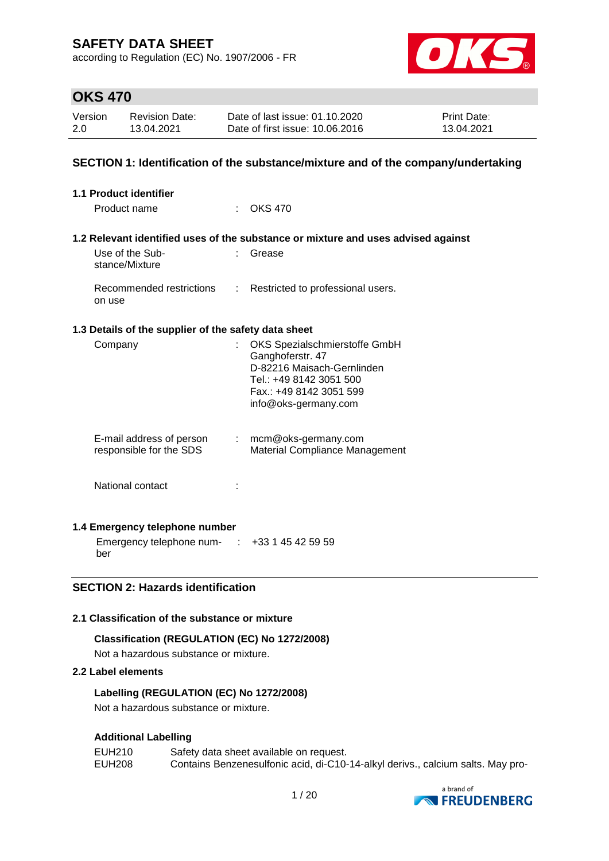according to Regulation (EC) No. 1907/2006 - FR



# **OKS 470**

| Version | <b>Revision Date:</b> | Date of last issue: 01.10.2020  | <b>Print Date:</b> |
|---------|-----------------------|---------------------------------|--------------------|
| 2.0     | 13.04.2021            | Date of first issue: 10.06.2016 | 13.04.2021         |

### **SECTION 1: Identification of the substance/mixture and of the company/undertaking**

| <b>1.1 Product identifier</b>                        |                           |                                                                                                                                                               |
|------------------------------------------------------|---------------------------|---------------------------------------------------------------------------------------------------------------------------------------------------------------|
| Product name                                         |                           | OKS 470                                                                                                                                                       |
|                                                      |                           | 1.2 Relevant identified uses of the substance or mixture and uses advised against                                                                             |
| Use of the Sub-<br>stance/Mixture                    |                           | Grease                                                                                                                                                        |
| Recommended restrictions<br>on use                   | ÷.                        | Restricted to professional users.                                                                                                                             |
| 1.3 Details of the supplier of the safety data sheet |                           |                                                                                                                                                               |
| Company                                              | t.                        | OKS Spezialschmierstoffe GmbH<br>Ganghoferstr. 47<br>D-82216 Maisach-Gernlinden<br>Tel.: +49 8142 3051 500<br>Fax.: +49 8142 3051 599<br>info@oks-germany.com |
| E-mail address of person<br>responsible for the SDS  | $\mathbb{Z}^{\mathbb{Z}}$ | mcm@oks-germany.com<br>Material Compliance Management                                                                                                         |
| National contact                                     |                           |                                                                                                                                                               |

## **1.4 Emergency telephone number**

Emergency telephone num-: +33 1 45 42 59 59 ber

## **SECTION 2: Hazards identification**

## **2.1 Classification of the substance or mixture**

#### **Classification (REGULATION (EC) No 1272/2008)**

Not a hazardous substance or mixture.

### **2.2 Label elements**

### **Labelling (REGULATION (EC) No 1272/2008)**

Not a hazardous substance or mixture.

#### **Additional Labelling**

| EUH210 | Safety data sheet available on request.                                         |
|--------|---------------------------------------------------------------------------------|
| EUH208 | Contains Benzenesulfonic acid, di-C10-14-alkyl derivs., calcium salts. May pro- |

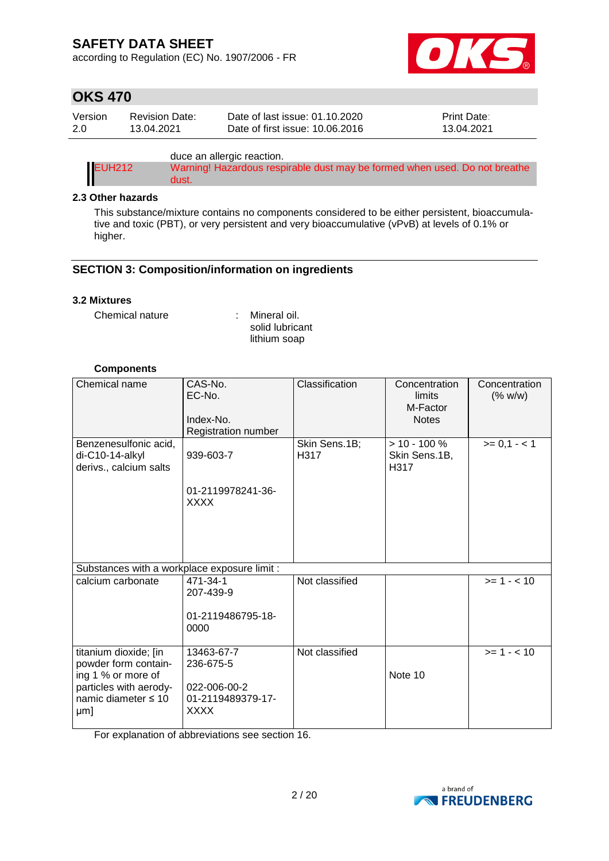according to Regulation (EC) No. 1907/2006 - FR



# **OKS 470**

| Version | Revision Date: | Date of last issue: 01.10.2020  | <b>Print Date:</b> |
|---------|----------------|---------------------------------|--------------------|
| 2.0     | 13.04.2021     | Date of first issue: 10.06.2016 | 13.04.2021         |

duce an allergic reaction.

| EUH212 | Warning! Hazardous respirable dust may be formed when used. Do not breathe |
|--------|----------------------------------------------------------------------------|
|        | dust.                                                                      |

#### **2.3 Other hazards**

This substance/mixture contains no components considered to be either persistent, bioaccumulative and toxic (PBT), or very persistent and very bioaccumulative (vPvB) at levels of 0.1% or higher.

## **SECTION 3: Composition/information on ingredients**

#### **3.2 Mixtures**

Chemical nature : Mineral oil.

solid lubricant lithium soap

### **Components**

| Chemical name                                                                                                               | CAS-No.<br>EC-No.<br>Index-No.<br>Registration number                       | Classification        | Concentration<br>limits<br>M-Factor<br><b>Notes</b> | Concentration<br>(% w/w) |
|-----------------------------------------------------------------------------------------------------------------------------|-----------------------------------------------------------------------------|-----------------------|-----------------------------------------------------|--------------------------|
| Benzenesulfonic acid,<br>di-C10-14-alkyl<br>derivs., calcium salts                                                          | 939-603-7<br>01-2119978241-36-<br><b>XXXX</b>                               | Skin Sens.1B;<br>H317 | $> 10 - 100 \%$<br>Skin Sens.1B,<br>H317            | $>= 0,1 - < 1$           |
| Substances with a workplace exposure limit :                                                                                |                                                                             |                       |                                                     |                          |
| calcium carbonate                                                                                                           | 471-34-1<br>207-439-9<br>01-2119486795-18-<br>0000                          | Not classified        |                                                     | $>= 1 - < 10$            |
| titanium dioxide; [in<br>powder form contain-<br>ing 1 % or more of<br>particles with aerody-<br>namic diameter ≤ 10<br>µm] | 13463-67-7<br>236-675-5<br>022-006-00-2<br>01-2119489379-17-<br><b>XXXX</b> | Not classified        | Note 10                                             | $>= 1 - 10$              |

For explanation of abbreviations see section 16.

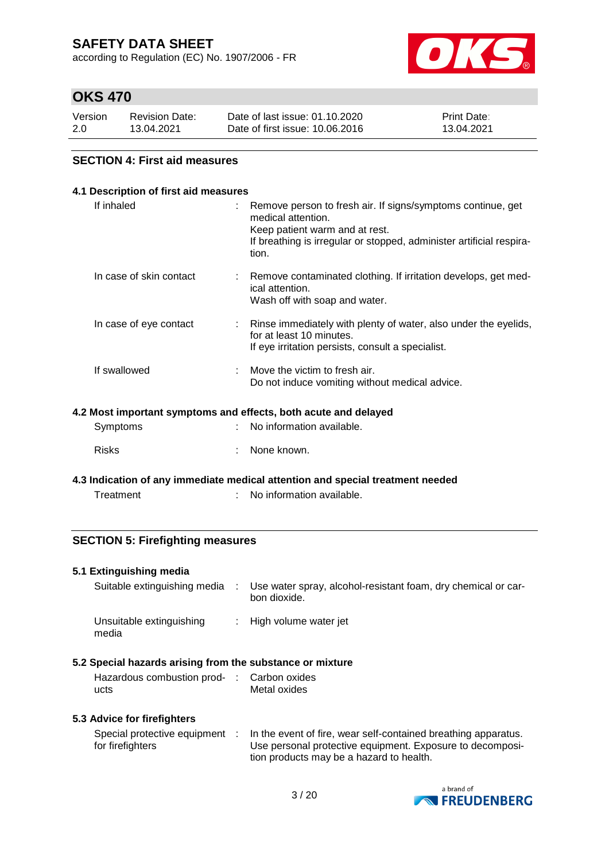according to Regulation (EC) No. 1907/2006 - FR



# **OKS 470**

| Version | <b>Revision Date:</b> | Date of last issue: 01.10.2020  | <b>Print Date:</b> |
|---------|-----------------------|---------------------------------|--------------------|
| 2.0     | 13.04.2021            | Date of first issue: 10.06.2016 | 13.04.2021         |

### **SECTION 4: First aid measures**

|                                                                 | 4.1 Description of first aid measures |  |                                                                                                                                                                                                      |  |  |  |
|-----------------------------------------------------------------|---------------------------------------|--|------------------------------------------------------------------------------------------------------------------------------------------------------------------------------------------------------|--|--|--|
|                                                                 | If inhaled                            |  | Remove person to fresh air. If signs/symptoms continue, get<br>medical attention.<br>Keep patient warm and at rest.<br>If breathing is irregular or stopped, administer artificial respira-<br>tion. |  |  |  |
|                                                                 | In case of skin contact               |  | Remove contaminated clothing. If irritation develops, get med-<br>ical attention.<br>Wash off with soap and water.                                                                                   |  |  |  |
|                                                                 | In case of eye contact                |  | Rinse immediately with plenty of water, also under the eyelids,<br>for at least 10 minutes.<br>If eye irritation persists, consult a specialist.                                                     |  |  |  |
|                                                                 | If swallowed                          |  | Move the victim to fresh air.<br>Do not induce vomiting without medical advice.                                                                                                                      |  |  |  |
| 4.2 Most important symptoms and effects, both acute and delayed |                                       |  |                                                                                                                                                                                                      |  |  |  |
|                                                                 | Symptoms                              |  | No information available.                                                                                                                                                                            |  |  |  |
|                                                                 | <b>Risks</b>                          |  | None known.                                                                                                                                                                                          |  |  |  |

**4.3 Indication of any immediate medical attention and special treatment needed** Treatment : No information available.

## **SECTION 5: Firefighting measures**

#### **5.1 Extinguishing media**

Suitable extinguishing media : Use water spray, alcohol-resistant foam, dry chemical or carbon dioxide. Unsuitable extinguishing : High volume water jet media

#### **5.2 Special hazards arising from the substance or mixture**

| Hazardous combustion prod- : Carbon oxides |              |
|--------------------------------------------|--------------|
| ucts                                       | Metal oxides |

#### **5.3 Advice for firefighters**

| Special protective equipment |  | In the event of fire, wear self-contained breathing apparatus. |
|------------------------------|--|----------------------------------------------------------------|
| for firefighters             |  | Use personal protective equipment. Exposure to decomposi-      |
|                              |  | tion products may be a hazard to health.                       |

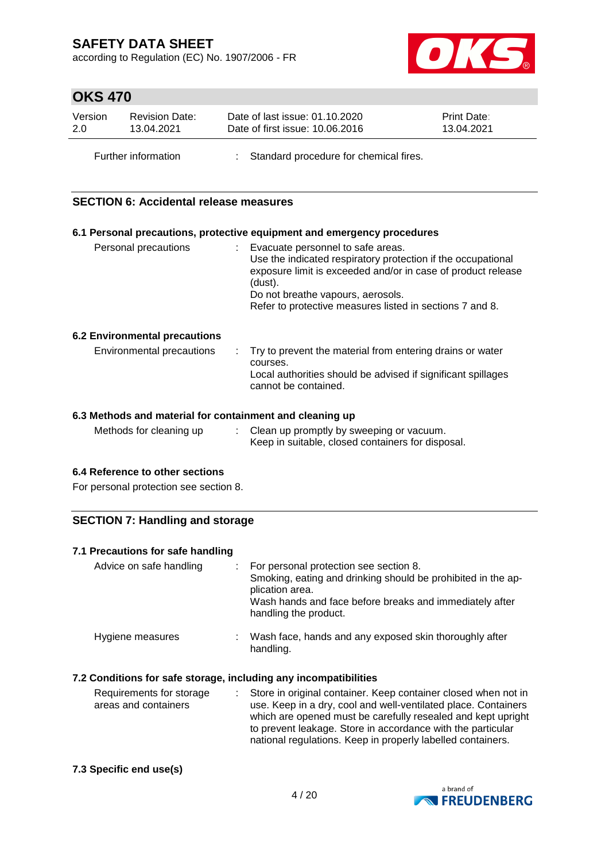according to Regulation (EC) No. 1907/2006 - FR



# **OKS 470**

| Version | <b>Revision Date:</b> | Date of last issue: 01.10.2020         | <b>Print Date:</b> |  |
|---------|-----------------------|----------------------------------------|--------------------|--|
| 2.0     | 13.04.2021            | Date of first issue: 10.06.2016        | 13.04.2021         |  |
|         | Further information   | Standard procedure for chemical fires. |                    |  |

### **SECTION 6: Accidental release measures**

|                                                          | 6.1 Personal precautions, protective equipment and emergency procedures                                                                                                                                                                                                         |
|----------------------------------------------------------|---------------------------------------------------------------------------------------------------------------------------------------------------------------------------------------------------------------------------------------------------------------------------------|
| Personal precautions                                     | : Evacuate personnel to safe areas.<br>Use the indicated respiratory protection if the occupational<br>exposure limit is exceeded and/or in case of product release<br>(dust).<br>Do not breathe vapours, aerosols.<br>Refer to protective measures listed in sections 7 and 8. |
| 6.2 Environmental precautions                            |                                                                                                                                                                                                                                                                                 |
| Environmental precautions                                | $\therefore$ Try to prevent the material from entering drains or water<br>courses.<br>Local authorities should be advised if significant spillages<br>cannot be contained.                                                                                                      |
| C 3 Methodo and motorial for containment and alconing up |                                                                                                                                                                                                                                                                                 |

#### **6.3 Methods and material for containment and cleaning up**

| Methods for cleaning up | Clean up promptly by sweeping or vacuum.          |
|-------------------------|---------------------------------------------------|
|                         | Keep in suitable, closed containers for disposal. |

### **6.4 Reference to other sections**

For personal protection see section 8.

## **SECTION 7: Handling and storage**

#### **7.1 Precautions for safe handling**

| Advice on safe handling |    | For personal protection see section 8.<br>Smoking, eating and drinking should be prohibited in the ap-<br>plication area.<br>Wash hands and face before breaks and immediately after<br>handling the product. |
|-------------------------|----|---------------------------------------------------------------------------------------------------------------------------------------------------------------------------------------------------------------|
| Hygiene measures        | ÷. | Wash face, hands and any exposed skin thoroughly after<br>handling.                                                                                                                                           |

### **7.2 Conditions for safe storage, including any incompatibilities**

| Requirements for storage | : Store in original container. Keep container closed when not in                                                               |
|--------------------------|--------------------------------------------------------------------------------------------------------------------------------|
| areas and containers     | use. Keep in a dry, cool and well-ventilated place. Containers<br>which are opened must be carefully resealed and kept upright |
|                          | to prevent leakage. Store in accordance with the particular<br>national regulations. Keep in properly labelled containers.     |

#### **7.3 Specific end use(s)**

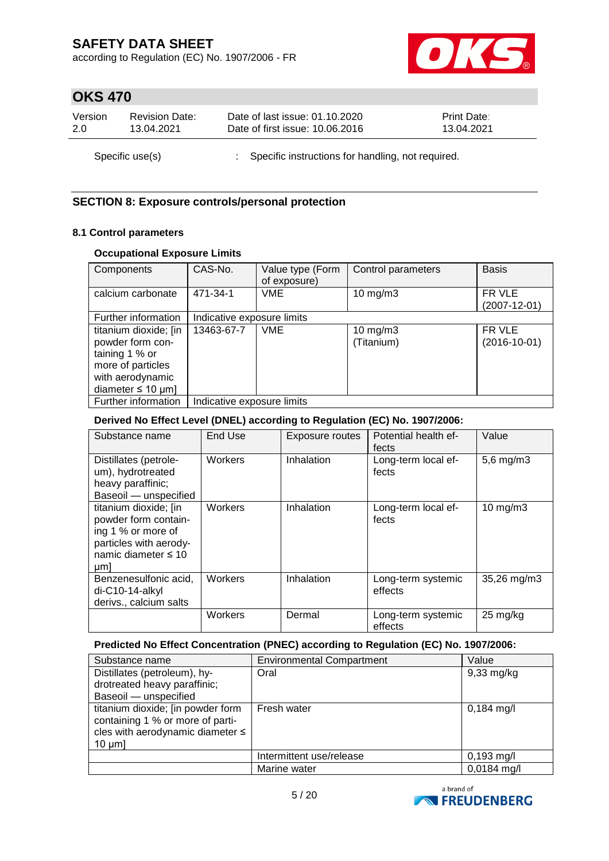according to Regulation (EC) No. 1907/2006 - FR



# **OKS 470**

| Version         | <b>Revision Date:</b> | Date of last issue: 01.10.2020                      | <b>Print Date:</b> |
|-----------------|-----------------------|-----------------------------------------------------|--------------------|
| 2.0             | 13.04.2021            | Date of first issue: 10.06.2016                     | 13.04.2021         |
| Specific use(s) |                       | : Specific instructions for handling, not required. |                    |

## **SECTION 8: Exposure controls/personal protection**

#### **8.1 Control parameters**

### **Occupational Exposure Limits**

| Components                                                                                                                     | CAS-No.                    | Value type (Form<br>of exposure) | Control parameters          | <b>Basis</b>                 |
|--------------------------------------------------------------------------------------------------------------------------------|----------------------------|----------------------------------|-----------------------------|------------------------------|
| calcium carbonate                                                                                                              | 471-34-1                   | <b>VME</b>                       | $10$ mg/m $3$               | FR VLE<br>$(2007 - 12 - 01)$ |
| Further information                                                                                                            | Indicative exposure limits |                                  |                             |                              |
| titanium dioxide; [in<br>powder form con-<br>taining 1 % or<br>more of particles<br>with aerodynamic<br>diameter $\leq 10$ µm] | 13463-67-7                 | <b>VME</b>                       | $10$ mg/m $3$<br>(Titanium) | FR VLE<br>$(2016-10-01)$     |
| Further information                                                                                                            | Indicative exposure limits |                                  |                             |                              |

### **Derived No Effect Level (DNEL) according to Regulation (EC) No. 1907/2006:**

| Substance name                                                                                                                      | End Use | Exposure routes | Potential health ef-<br>fects | Value              |
|-------------------------------------------------------------------------------------------------------------------------------------|---------|-----------------|-------------------------------|--------------------|
| Distillates (petrole-<br>um), hydrotreated<br>heavy paraffinic;<br>Baseoil - unspecified                                            | Workers | Inhalation      | Long-term local ef-<br>fects  | $5,6$ mg/m $3$     |
| titanium dioxide; [in<br>powder form contain-<br>ing 1 % or more of<br>particles with aerody-<br>namic diameter $\leq 10$<br>$µm$ ] | Workers | Inhalation      | Long-term local ef-<br>fects  | $10 \text{ mg/m}$  |
| Benzenesulfonic acid,<br>$di-C10-14-alkyl$<br>derivs., calcium salts                                                                | Workers | Inhalation      | Long-term systemic<br>effects | 35,26 mg/m3        |
|                                                                                                                                     | Workers | Dermal          | Long-term systemic<br>effects | $25 \text{ mg/kg}$ |

### **Predicted No Effect Concentration (PNEC) according to Regulation (EC) No. 1907/2006:**

| Substance name                                                                                                                 | <b>Environmental Compartment</b> | Value                |
|--------------------------------------------------------------------------------------------------------------------------------|----------------------------------|----------------------|
| Distillates (petroleum), hy-                                                                                                   | Oral                             | $9,33$ mg/kg         |
| drotreated heavy paraffinic;                                                                                                   |                                  |                      |
| Baseoil - unspecified                                                                                                          |                                  |                      |
| titanium dioxide; [in powder form<br>containing 1 % or more of parti-<br>cles with aerodynamic diameter $\leq$<br>$10 \mu m$ ] | Fresh water                      | $0,184 \text{ mg/l}$ |
|                                                                                                                                | Intermittent use/release         | $0,193 \text{ mg/l}$ |
|                                                                                                                                | Marine water                     | 0,0184 mg/l          |

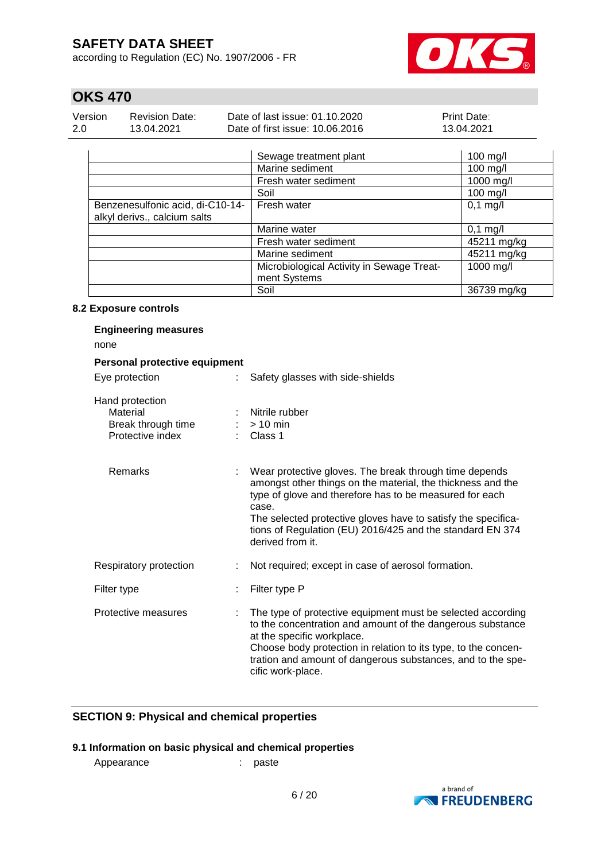according to Regulation (EC) No. 1907/2006 - FR



# **OKS 470**

| Version | Revision Date: | Date of last issue: 01.10.2020  | <b>Print Date:</b> |
|---------|----------------|---------------------------------|--------------------|
| -2.0    | 13.04.2021     | Date of first issue: 10.06.2016 | 13.04.2021         |

|                                                                  | Sewage treatment plant                    | $100$ mg/l  |
|------------------------------------------------------------------|-------------------------------------------|-------------|
|                                                                  | Marine sediment                           | $100$ mg/l  |
|                                                                  | Fresh water sediment                      | 1000 mg/l   |
|                                                                  | Soil                                      | $100$ mg/l  |
| Benzenesulfonic acid, di-C10-14-<br>alkyl derivs., calcium salts | Fresh water                               | $0,1$ mg/l  |
|                                                                  | Marine water                              | $0,1$ mg/l  |
|                                                                  | Fresh water sediment                      | 45211 mg/kg |
|                                                                  | Marine sediment                           | 45211 mg/kg |
|                                                                  | Microbiological Activity in Sewage Treat- | 1000 mg/l   |
|                                                                  | ment Systems                              |             |
|                                                                  | Soil                                      | 36739 mg/kg |

#### **8.2 Exposure controls**

| <b>Engineering measures</b>                                           |   |                                                                                                                                                                                                                                                                                                                                             |  |  |  |
|-----------------------------------------------------------------------|---|---------------------------------------------------------------------------------------------------------------------------------------------------------------------------------------------------------------------------------------------------------------------------------------------------------------------------------------------|--|--|--|
| none                                                                  |   |                                                                                                                                                                                                                                                                                                                                             |  |  |  |
| Personal protective equipment                                         |   |                                                                                                                                                                                                                                                                                                                                             |  |  |  |
| Eye protection                                                        | ÷ | Safety glasses with side-shields                                                                                                                                                                                                                                                                                                            |  |  |  |
| Hand protection<br>Material<br>Break through time<br>Protective index |   | Nitrile rubber<br>$:$ > 10 min<br>Class 1                                                                                                                                                                                                                                                                                                   |  |  |  |
| Remarks                                                               |   | Wear protective gloves. The break through time depends<br>amongst other things on the material, the thickness and the<br>type of glove and therefore has to be measured for each<br>case.<br>The selected protective gloves have to satisfy the specifica-<br>tions of Regulation (EU) 2016/425 and the standard EN 374<br>derived from it. |  |  |  |
| Respiratory protection                                                |   | Not required; except in case of aerosol formation.                                                                                                                                                                                                                                                                                          |  |  |  |
| Filter type                                                           |   | Filter type P                                                                                                                                                                                                                                                                                                                               |  |  |  |
| Protective measures                                                   | ÷ | The type of protective equipment must be selected according<br>to the concentration and amount of the dangerous substance<br>at the specific workplace.<br>Choose body protection in relation to its type, to the concen-<br>tration and amount of dangerous substances, and to the spe-<br>cific work-place.                               |  |  |  |

# **SECTION 9: Physical and chemical properties**

## **9.1 Information on basic physical and chemical properties**

Appearance : paste

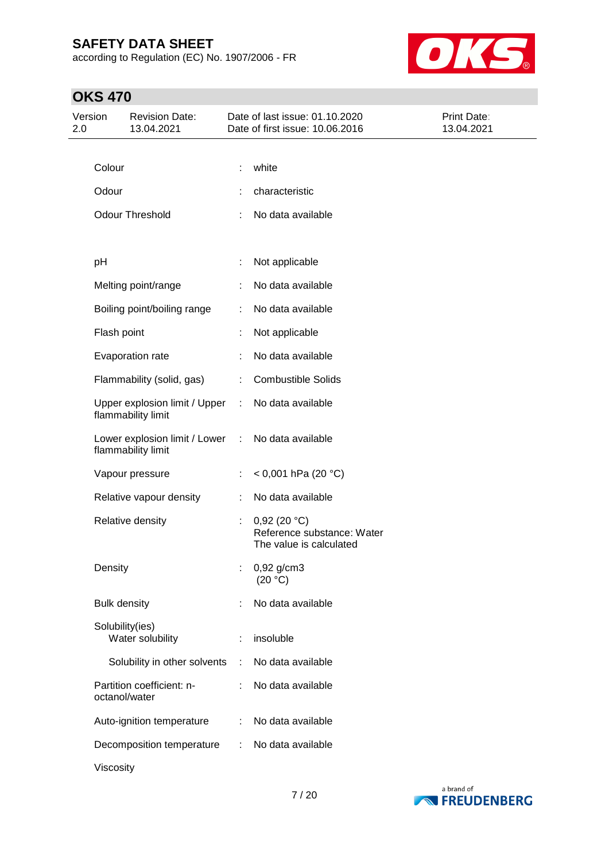according to Regulation (EC) No. 1907/2006 - FR



| Version<br>2.0 |                     | <b>Revision Date:</b><br>13.04.2021                 |   | Date of last issue: 01.10.2020<br>Date of first issue: 10.06.2016    | Print Date:<br>13.04.2021 |
|----------------|---------------------|-----------------------------------------------------|---|----------------------------------------------------------------------|---------------------------|
|                |                     |                                                     |   |                                                                      |                           |
|                | Colour              |                                                     |   | white                                                                |                           |
|                | Odour               |                                                     |   | characteristic                                                       |                           |
|                |                     | <b>Odour Threshold</b>                              |   | No data available                                                    |                           |
|                | pH                  |                                                     | t | Not applicable                                                       |                           |
|                |                     | Melting point/range                                 |   | No data available                                                    |                           |
|                |                     | Boiling point/boiling range                         | ÷ | No data available                                                    |                           |
|                | Flash point         |                                                     |   | Not applicable                                                       |                           |
|                |                     | Evaporation rate                                    |   | No data available                                                    |                           |
|                |                     | Flammability (solid, gas)                           | ÷ | <b>Combustible Solids</b>                                            |                           |
|                |                     | Upper explosion limit / Upper<br>flammability limit | ÷ | No data available                                                    |                           |
|                |                     | Lower explosion limit / Lower<br>flammability limit | ÷ | No data available                                                    |                           |
|                |                     | Vapour pressure                                     |   | $< 0,001$ hPa (20 °C)                                                |                           |
|                |                     | Relative vapour density                             |   | No data available                                                    |                           |
|                |                     | Relative density                                    | ÷ | 0,92(20 °C)<br>Reference substance: Water<br>The value is calculated |                           |
|                | Density             |                                                     |   | 0,92 g/cm3<br>(20 °C)                                                |                           |
|                | <b>Bulk density</b> |                                                     |   | No data available                                                    |                           |
|                | Solubility(ies)     | Water solubility                                    |   | insoluble                                                            |                           |
|                |                     | Solubility in other solvents                        | ÷ | No data available                                                    |                           |
|                | octanol/water       | Partition coefficient: n-                           | ÷ | No data available                                                    |                           |
|                |                     | Auto-ignition temperature                           | ÷ | No data available                                                    |                           |
|                |                     | Decomposition temperature                           | ÷ | No data available                                                    |                           |
|                | Viscosity           |                                                     |   |                                                                      |                           |

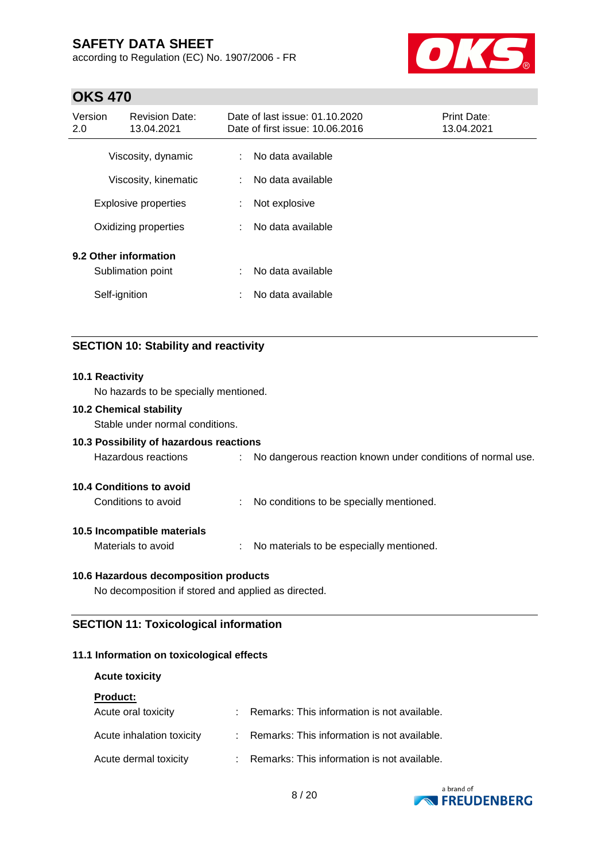according to Regulation (EC) No. 1907/2006 - FR



# **OKS 470**

| Version<br>2.0 | <b>Revision Date:</b><br>13.04.2021 |    | Date of last issue: 01.10.2020<br>Date of first issue: 10.06.2016 | <b>Print Date:</b><br>13.04.2021 |
|----------------|-------------------------------------|----|-------------------------------------------------------------------|----------------------------------|
|                | Viscosity, dynamic                  | ÷. | No data available                                                 |                                  |
|                | Viscosity, kinematic                | ÷. | No data available                                                 |                                  |
|                | <b>Explosive properties</b>         | ÷  | Not explosive                                                     |                                  |
|                | Oxidizing properties                | ÷. | No data available                                                 |                                  |
|                | 9.2 Other information               |    |                                                                   |                                  |
|                | Sublimation point                   | t. | No data available                                                 |                                  |
|                | Self-ignition                       | ٠  | No data available                                                 |                                  |

# **SECTION 10: Stability and reactivity**

### **10.1 Reactivity**

No hazards to be specially mentioned.

#### **10.2 Chemical stability**

Stable under normal conditions.

## **10.3 Possibility of hazardous reactions**

Hazardous reactions : No dangerous reaction known under conditions of normal use.

#### **10.4 Conditions to avoid**

Conditions to avoid : No conditions to be specially mentioned.

#### **10.5 Incompatible materials**

Materials to avoid : No materials to be especially mentioned.

#### **10.6 Hazardous decomposition products**

No decomposition if stored and applied as directed.

## **SECTION 11: Toxicological information**

#### **11.1 Information on toxicological effects**

#### **Acute toxicity**

| <b>Product:</b> |  |  |
|-----------------|--|--|
|                 |  |  |

| Acute oral toxicity       | : Remarks: This information is not available. |
|---------------------------|-----------------------------------------------|
| Acute inhalation toxicity | : Remarks: This information is not available. |
| Acute dermal toxicity     | : Remarks: This information is not available. |

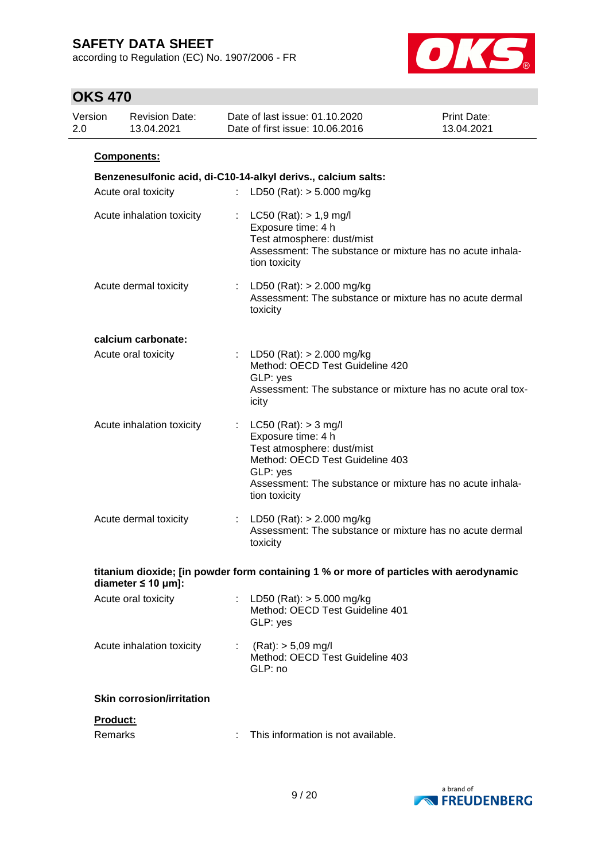according to Regulation (EC) No. 1907/2006 - FR



| Version<br>2.0 | <b>Revision Date:</b><br>13.04.2021                           |                   | Date of last issue: 01.10.2020<br>Date of first issue: 10.06.2016                                                                | Print Date:<br>13.04.2021                                                              |
|----------------|---------------------------------------------------------------|-------------------|----------------------------------------------------------------------------------------------------------------------------------|----------------------------------------------------------------------------------------|
|                | Components:                                                   |                   |                                                                                                                                  |                                                                                        |
|                | Benzenesulfonic acid, di-C10-14-alkyl derivs., calcium salts: |                   |                                                                                                                                  |                                                                                        |
|                | Acute oral toxicity                                           | ÷.                | LD50 (Rat): $> 5.000$ mg/kg                                                                                                      |                                                                                        |
|                | Acute inhalation toxicity                                     | t.                | $LC50$ (Rat): $> 1.9$ mg/l<br>Exposure time: 4 h<br>Test atmosphere: dust/mist<br>tion toxicity                                  | Assessment: The substance or mixture has no acute inhala-                              |
|                | Acute dermal toxicity                                         | toxicity          | : LD50 (Rat): $> 2.000$ mg/kg                                                                                                    | Assessment: The substance or mixture has no acute dermal                               |
|                | calcium carbonate:                                            |                   |                                                                                                                                  |                                                                                        |
|                | Acute oral toxicity                                           | GLP: yes<br>icity | : LD50 (Rat): $> 2.000$ mg/kg<br>Method: OECD Test Guideline 420                                                                 | Assessment: The substance or mixture has no acute oral tox-                            |
|                | Acute inhalation toxicity                                     | GLP: yes          | $LC50$ (Rat): $> 3$ mg/l<br>Exposure time: 4 h<br>Test atmosphere: dust/mist<br>Method: OECD Test Guideline 403<br>tion toxicity | Assessment: The substance or mixture has no acute inhala-                              |
|                | Acute dermal toxicity                                         | toxicity          | : LD50 (Rat): $> 2.000$ mg/kg                                                                                                    | Assessment: The substance or mixture has no acute dermal                               |
|                | diameter $\leq 10$ µm]:                                       |                   |                                                                                                                                  | titanium dioxide; [in powder form containing 1 % or more of particles with aerodynamic |
|                | Acute oral toxicity                                           | GLP: yes          | : LD50 (Rat): $>$ 5.000 mg/kg<br>Method: OECD Test Guideline 401                                                                 |                                                                                        |
|                | Acute inhalation toxicity                                     | GLP: no           | $(Rat):$ > 5,09 mg/l<br>Method: OECD Test Guideline 403                                                                          |                                                                                        |
|                | <b>Skin corrosion/irritation</b>                              |                   |                                                                                                                                  |                                                                                        |
|                | Product:<br>Remarks                                           |                   | This information is not available.                                                                                               |                                                                                        |

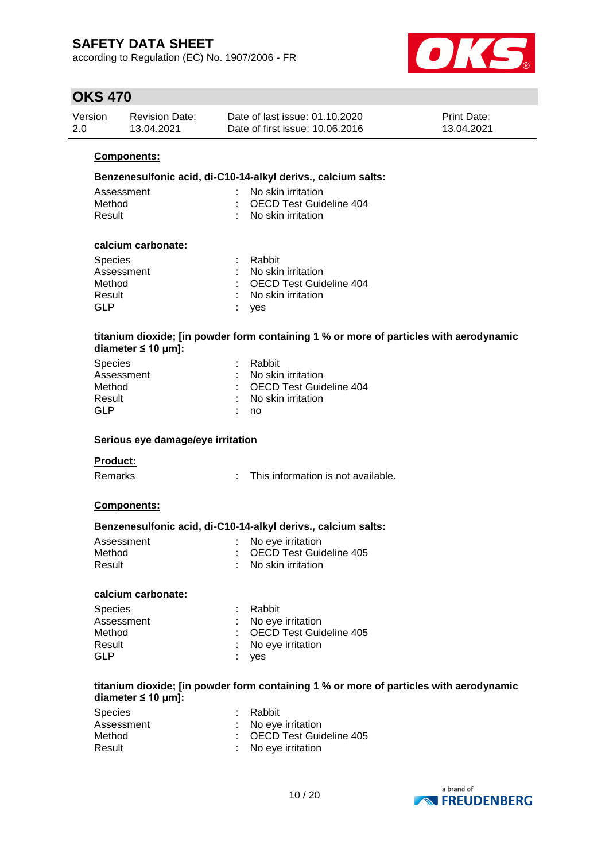according to Regulation (EC) No. 1907/2006 - FR



# **OKS 470**

| Version | Revision Date: | Date of last issue: 01.10.2020  | <b>Print Date:</b> |
|---------|----------------|---------------------------------|--------------------|
| 2.0     | 13.04.2021     | Date of first issue: 10.06.2016 | 13.04.2021         |

#### **Components:**

#### **Benzenesulfonic acid, di-C10-14-alkyl derivs., calcium salts:**

| Assessment | $\therefore$ No skin irritation  |
|------------|----------------------------------|
| Method     | : OECD Test Guideline 404        |
| Result     | $\therefore$ No skin irritation. |

#### **calcium carbonate:**

| <b>Species</b> | : Rabbit                        |
|----------------|---------------------------------|
| Assessment     | $\therefore$ No skin irritation |
| Method         | : OECD Test Guideline 404       |
| Result         | : No skin irritation            |
| GLP            | : yes                           |

#### **titanium dioxide; [in powder form containing 1 % or more of particles with aerodynamic diameter ≤ 10 μm]:**

| : Rabbit                  |
|---------------------------|
| : No skin irritation      |
| : OECD Test Guideline 404 |
| : No skin irritation      |
| no                        |
|                           |

#### **Serious eye damage/eye irritation**

#### **Product:**

Remarks : This information is not available.

#### **Components:**

#### **Benzenesulfonic acid, di-C10-14-alkyl derivs., calcium salts:**

| Assessment | : No eye irritation       |
|------------|---------------------------|
| Method     | : OECD Test Guideline 405 |
| Result     | : No skin irritation      |

#### **calcium carbonate:**

| : Rabbit                  |
|---------------------------|
| : No eye irritation       |
| : OECD Test Guideline 405 |
| : No eye irritation       |
| : yes                     |
|                           |

#### **titanium dioxide; [in powder form containing 1 % or more of particles with aerodynamic diameter ≤ 10 μm]:**

| <b>Species</b> | : Rabbit                  |
|----------------|---------------------------|
| Assessment     | : No eve irritation       |
| Method         | : OECD Test Guideline 405 |
| Result         | : No eye irritation       |

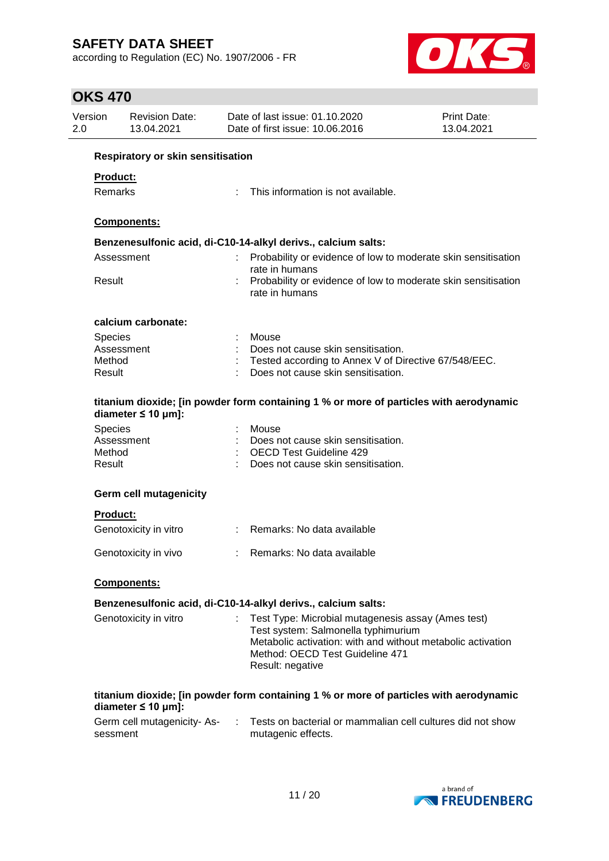according to Regulation (EC) No. 1907/2006 - FR



| 2.0                                                           | Version                           | <b>Revision Date:</b><br>13.04.2021 |  | Date of last issue: 01.10.2020<br>Date of first issue: 10.06.2016                                                                                         | Print Date:<br>13.04.2021 |  |  |  |
|---------------------------------------------------------------|-----------------------------------|-------------------------------------|--|-----------------------------------------------------------------------------------------------------------------------------------------------------------|---------------------------|--|--|--|
|                                                               | Respiratory or skin sensitisation |                                     |  |                                                                                                                                                           |                           |  |  |  |
|                                                               | Product:                          |                                     |  |                                                                                                                                                           |                           |  |  |  |
|                                                               | Remarks                           |                                     |  | This information is not available.                                                                                                                        |                           |  |  |  |
|                                                               |                                   |                                     |  |                                                                                                                                                           |                           |  |  |  |
|                                                               |                                   | Components:                         |  |                                                                                                                                                           |                           |  |  |  |
| Benzenesulfonic acid, di-C10-14-alkyl derivs., calcium salts: |                                   |                                     |  |                                                                                                                                                           |                           |  |  |  |
|                                                               |                                   | Assessment                          |  | Probability or evidence of low to moderate skin sensitisation<br>rate in humans                                                                           |                           |  |  |  |
|                                                               | Result                            |                                     |  | Probability or evidence of low to moderate skin sensitisation<br>rate in humans                                                                           |                           |  |  |  |
|                                                               |                                   | calcium carbonate:                  |  |                                                                                                                                                           |                           |  |  |  |
|                                                               | <b>Species</b>                    |                                     |  | Mouse                                                                                                                                                     |                           |  |  |  |
|                                                               |                                   | Assessment                          |  | Does not cause skin sensitisation.                                                                                                                        |                           |  |  |  |
|                                                               | Method                            |                                     |  | Tested according to Annex V of Directive 67/548/EEC.                                                                                                      |                           |  |  |  |
|                                                               | Result                            |                                     |  | Does not cause skin sensitisation.                                                                                                                        |                           |  |  |  |
|                                                               |                                   | diameter $\leq 10$ µm]:             |  | titanium dioxide; [in powder form containing 1 % or more of particles with aerodynamic                                                                    |                           |  |  |  |
|                                                               | <b>Species</b>                    |                                     |  | Mouse                                                                                                                                                     |                           |  |  |  |
|                                                               |                                   | Assessment                          |  | Does not cause skin sensitisation.                                                                                                                        |                           |  |  |  |
|                                                               | Method                            |                                     |  | <b>OECD Test Guideline 429</b>                                                                                                                            |                           |  |  |  |
|                                                               | Result                            |                                     |  | Does not cause skin sensitisation.                                                                                                                        |                           |  |  |  |
|                                                               |                                   | <b>Germ cell mutagenicity</b>       |  |                                                                                                                                                           |                           |  |  |  |
|                                                               | <b>Product:</b>                   |                                     |  |                                                                                                                                                           |                           |  |  |  |
|                                                               |                                   | Genotoxicity in vitro               |  | : Remarks: No data available                                                                                                                              |                           |  |  |  |
|                                                               |                                   | Genotoxicity in vivo                |  | Remarks: No data available                                                                                                                                |                           |  |  |  |
|                                                               |                                   | <b>Components:</b>                  |  |                                                                                                                                                           |                           |  |  |  |
|                                                               |                                   |                                     |  | Benzenesulfonic acid, di-C10-14-alkyl derivs., calcium salts:                                                                                             |                           |  |  |  |
|                                                               |                                   | Genotoxicity in vitro               |  | Test Type: Microbial mutagenesis assay (Ames test)                                                                                                        |                           |  |  |  |
|                                                               |                                   |                                     |  | Test system: Salmonella typhimurium<br>Metabolic activation: with and without metabolic activation<br>Method: OECD Test Guideline 471<br>Result: negative |                           |  |  |  |
|                                                               |                                   | diameter $\leq 10$ µm]:             |  | titanium dioxide; [in powder form containing 1 % or more of particles with aerodynamic                                                                    |                           |  |  |  |
|                                                               | sessment                          | Germ cell mutagenicity-As-          |  | Tests on bacterial or mammalian cell cultures did not show<br>mutagenic effects.                                                                          |                           |  |  |  |

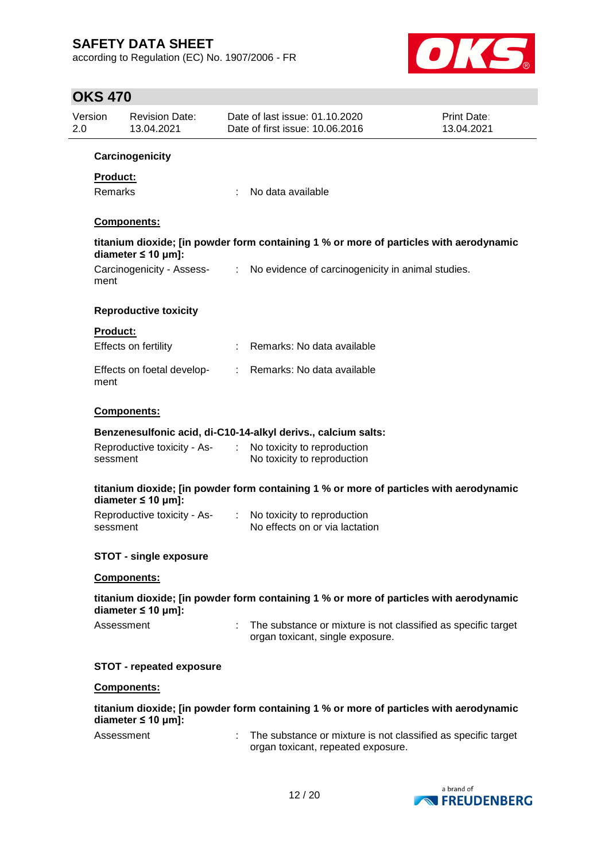according to Regulation (EC) No. 1907/2006 - FR



| Version<br>2.0  | <b>Revision Date:</b><br>13.04.2021 |                             | Date of last issue: 01.10.2020<br>Date of first issue: 10.06.2016                                   | <b>Print Date:</b><br>13.04.2021 |
|-----------------|-------------------------------------|-----------------------------|-----------------------------------------------------------------------------------------------------|----------------------------------|
|                 | Carcinogenicity                     |                             |                                                                                                     |                                  |
| <b>Product:</b> |                                     |                             |                                                                                                     |                                  |
| Remarks         |                                     |                             | No data available                                                                                   |                                  |
|                 | Components:                         |                             |                                                                                                     |                                  |
|                 | diameter $\leq 10$ µm]:             |                             | titanium dioxide; [in powder form containing 1 % or more of particles with aerodynamic              |                                  |
| ment            | Carcinogenicity - Assess-           |                             | : No evidence of carcinogenicity in animal studies.                                                 |                                  |
|                 | <b>Reproductive toxicity</b>        |                             |                                                                                                     |                                  |
| <b>Product:</b> |                                     |                             |                                                                                                     |                                  |
|                 | Effects on fertility                |                             | : Remarks: No data available                                                                        |                                  |
| ment            | Effects on foetal develop-          |                             | : Remarks: No data available                                                                        |                                  |
|                 | Components:                         |                             |                                                                                                     |                                  |
|                 |                                     |                             | Benzenesulfonic acid, di-C10-14-alkyl derivs., calcium salts:                                       |                                  |
| sessment        | Reproductive toxicity - As-         | $\mathcal{L}^{\mathcal{L}}$ | No toxicity to reproduction<br>No toxicity to reproduction                                          |                                  |
|                 | diameter $\leq 10$ µm]:             |                             | titanium dioxide; [in powder form containing 1 % or more of particles with aerodynamic              |                                  |
| sessment        | Reproductive toxicity - As-         | ÷                           | No toxicity to reproduction<br>No effects on or via lactation                                       |                                  |
|                 | <b>STOT - single exposure</b>       |                             |                                                                                                     |                                  |
|                 | Components:                         |                             |                                                                                                     |                                  |
|                 | diameter $\leq 10$ µm]:             |                             | titanium dioxide; [in powder form containing 1 % or more of particles with aerodynamic              |                                  |
|                 | Assessment                          |                             | The substance or mixture is not classified as specific target<br>organ toxicant, single exposure.   |                                  |
|                 | <b>STOT - repeated exposure</b>     |                             |                                                                                                     |                                  |
|                 | <b>Components:</b>                  |                             |                                                                                                     |                                  |
|                 | diameter $\leq 10$ µm]:             |                             | titanium dioxide; [in powder form containing 1 % or more of particles with aerodynamic              |                                  |
|                 | Assessment                          |                             | The substance or mixture is not classified as specific target<br>organ toxicant, repeated exposure. |                                  |

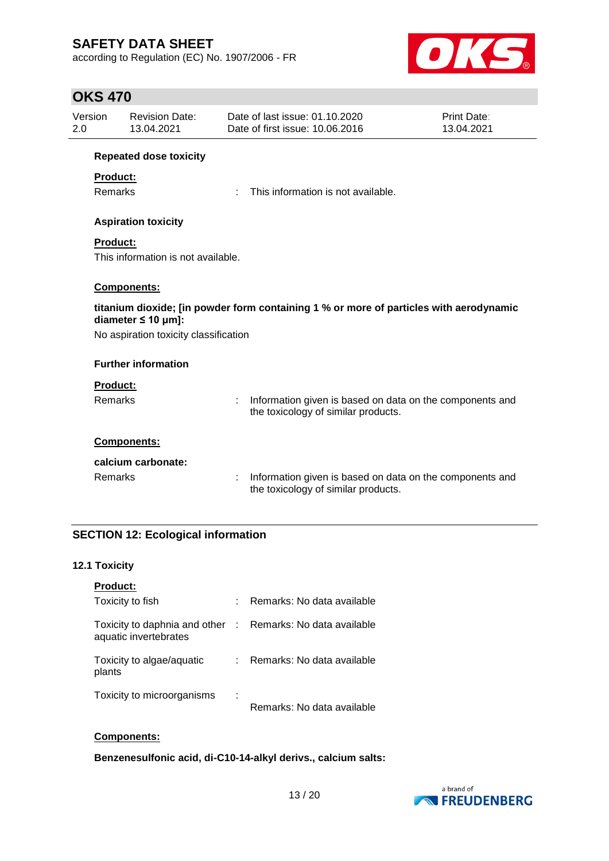according to Regulation (EC) No. 1907/2006 - FR



# **OKS 470**

| Version<br>2.0                        |                                                                                                                   | <b>Revision Date:</b><br>13.04.2021 |   | Date of last issue: 01.10.2020<br>Date of first issue: 10.06.2016                               | Print Date:<br>13.04.2021 |  |  |
|---------------------------------------|-------------------------------------------------------------------------------------------------------------------|-------------------------------------|---|-------------------------------------------------------------------------------------------------|---------------------------|--|--|
|                                       |                                                                                                                   | <b>Repeated dose toxicity</b>       |   |                                                                                                 |                           |  |  |
|                                       | <b>Product:</b>                                                                                                   |                                     |   |                                                                                                 |                           |  |  |
|                                       | Remarks                                                                                                           |                                     |   | This information is not available.                                                              |                           |  |  |
|                                       |                                                                                                                   | <b>Aspiration toxicity</b>          |   |                                                                                                 |                           |  |  |
|                                       | <b>Product:</b>                                                                                                   |                                     |   |                                                                                                 |                           |  |  |
|                                       |                                                                                                                   | This information is not available.  |   |                                                                                                 |                           |  |  |
|                                       |                                                                                                                   | Components:                         |   |                                                                                                 |                           |  |  |
|                                       | titanium dioxide; [in powder form containing 1 % or more of particles with aerodynamic<br>diameter $\leq 10$ µm]: |                                     |   |                                                                                                 |                           |  |  |
| No aspiration toxicity classification |                                                                                                                   |                                     |   |                                                                                                 |                           |  |  |
|                                       |                                                                                                                   | <b>Further information</b>          |   |                                                                                                 |                           |  |  |
|                                       | <b>Product:</b>                                                                                                   |                                     |   |                                                                                                 |                           |  |  |
|                                       | Remarks                                                                                                           |                                     | ÷ | Information given is based on data on the components and<br>the toxicology of similar products. |                           |  |  |
|                                       |                                                                                                                   | Components:                         |   |                                                                                                 |                           |  |  |
|                                       |                                                                                                                   | calcium carbonate:                  |   |                                                                                                 |                           |  |  |
|                                       | Remarks                                                                                                           |                                     |   | Information given is based on data on the components and<br>the toxicology of similar products. |                           |  |  |

## **SECTION 12: Ecological information**

## **12.1 Toxicity**

| <b>Product:</b>                                        |             |                            |
|--------------------------------------------------------|-------------|----------------------------|
| Toxicity to fish                                       |             | Remarks: No data available |
| Toxicity to daphnia and other<br>aquatic invertebrates | $\sim 10^6$ | Remarks: No data available |
| Toxicity to algae/aquatic<br>plants                    |             | Remarks: No data available |
| Toxicity to microorganisms                             | ٠<br>×      | Remarks: No data available |

### **Components:**

**Benzenesulfonic acid, di-C10-14-alkyl derivs., calcium salts:**

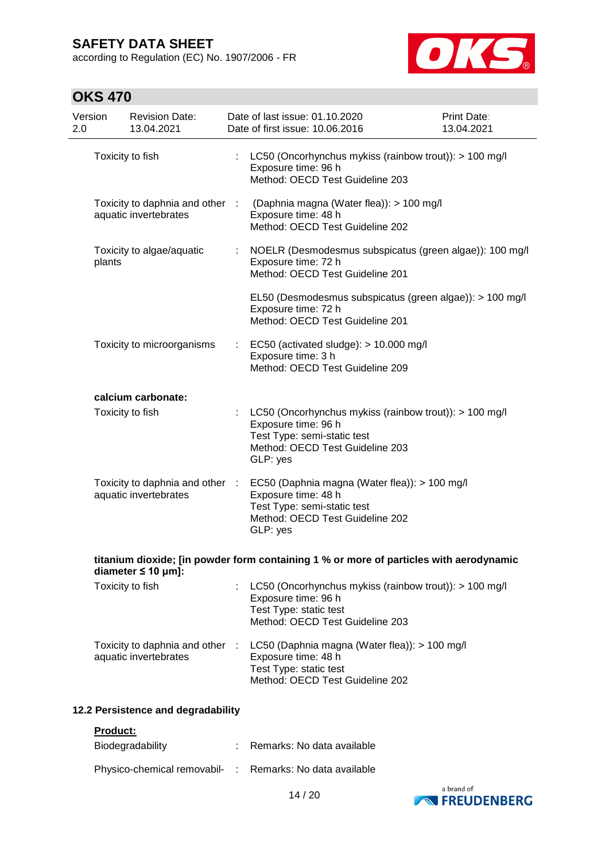according to Regulation (EC) No. 1907/2006 - FR



# **OKS 470**

| Version<br>2.0 | <b>Revision Date:</b><br>13.04.2021                      |    | Date of last issue: 01.10.2020<br>Date of first issue: 10.06.2016                                                                                           | Print Date:<br>13.04.2021 |
|----------------|----------------------------------------------------------|----|-------------------------------------------------------------------------------------------------------------------------------------------------------------|---------------------------|
|                | Toxicity to fish                                         |    | LC50 (Oncorhynchus mykiss (rainbow trout)): > 100 mg/l<br>Exposure time: 96 h<br>Method: OECD Test Guideline 203                                            |                           |
|                | aquatic invertebrates                                    |    | Toxicity to daphnia and other : (Daphnia magna (Water flea)): > 100 mg/l<br>Exposure time: 48 h<br>Method: OECD Test Guideline 202                          |                           |
| plants         | Toxicity to algae/aquatic                                | ÷  | NOELR (Desmodesmus subspicatus (green algae)): 100 mg/l<br>Exposure time: 72 h<br>Method: OECD Test Guideline 201                                           |                           |
|                |                                                          |    | EL50 (Desmodesmus subspicatus (green algae)): > 100 mg/l<br>Exposure time: 72 h<br>Method: OECD Test Guideline 201                                          |                           |
|                | Toxicity to microorganisms                               | ÷. | EC50 (activated sludge): > 10.000 mg/l<br>Exposure time: 3 h<br>Method: OECD Test Guideline 209                                                             |                           |
|                | calcium carbonate:                                       |    |                                                                                                                                                             |                           |
|                | Toxicity to fish                                         | ÷  | LC50 (Oncorhynchus mykiss (rainbow trout)): > 100 mg/l<br>Exposure time: 96 h<br>Test Type: semi-static test<br>Method: OECD Test Guideline 203<br>GLP: yes |                           |
|                | Toxicity to daphnia and other :<br>aquatic invertebrates |    | EC50 (Daphnia magna (Water flea)): > 100 mg/l<br>Exposure time: 48 h<br>Test Type: semi-static test<br>Method: OECD Test Guideline 202<br>GLP: yes          |                           |
|                | diameter $\leq 10$ µm]:                                  |    | titanium dioxide; [in powder form containing 1 % or more of particles with aerodynamic                                                                      |                           |
|                | Toxicity to fish                                         |    | LC50 (Oncorhynchus mykiss (rainbow trout)): > 100 mg/l<br>Exposure time: 96 h<br>Test Type: static test<br>Method: OECD Test Guideline 203                  |                           |
|                | Toxicity to daphnia and other :<br>aquatic invertebrates |    | LC50 (Daphnia magna (Water flea)): > 100 mg/l<br>Exposure time: 48 h<br>Test Type: static test<br>Method: OECD Test Guideline 202                           |                           |

## **12.2 Persistence and degradability**

#### **Product:**

| <b>Biodegradability</b>                                  | : Remarks: No data available |
|----------------------------------------------------------|------------------------------|
| Physico-chemical removabil- : Remarks: No data available |                              |

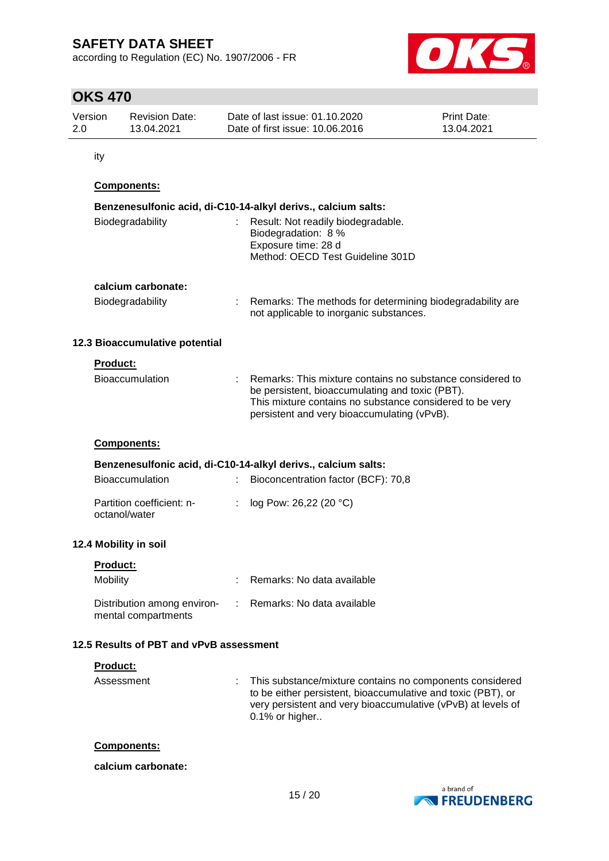according to Regulation (EC) No. 1907/2006 - FR



# **OKS 470**

| Version | <b>Revision Date:</b> | Date of last issue: 01.10.2020  | <b>Print Date:</b> |
|---------|-----------------------|---------------------------------|--------------------|
| 2.0     | 13.04.2021            | Date of first issue: 10.06.2016 | 13.04.2021         |

ity

## **Components:**

| Biodegradability               | : Result: Not readily biodegradable.<br>Biodegradation: 8 %<br>Exposure time: 28 d<br>Method: OECD Test Guideline 301D                                                                                                    |
|--------------------------------|---------------------------------------------------------------------------------------------------------------------------------------------------------------------------------------------------------------------------|
| calcium carbonate:             |                                                                                                                                                                                                                           |
| <b>Biodegradability</b>        | : Remarks: The methods for determining biodegradability are<br>not applicable to inorganic substances.                                                                                                                    |
| 12.3 Bioaccumulative potential |                                                                                                                                                                                                                           |
| <b>Product:</b>                |                                                                                                                                                                                                                           |
| <b>Bioaccumulation</b>         | : Remarks: This mixture contains no substance considered to<br>be persistent, bioaccumulating and toxic (PBT).<br>This mixture contains no substance considered to be very<br>persistent and very bioaccumulating (vPvB). |
| Components:                    |                                                                                                                                                                                                                           |
|                                | Benzenesulfonic acid, di-C10-14-alkyl derivs., calcium salts:                                                                                                                                                             |
| <b>Bioaccumulation</b>         | Bioconcentration factor (BCF): 70,8                                                                                                                                                                                       |

| Partition coefficient: n- | : $log Pow: 26,22 (20 °C)$ |
|---------------------------|----------------------------|
| octanol/water             |                            |

## **12.4 Mobility in soil**

| <b>Product:</b>                                    |                              |
|----------------------------------------------------|------------------------------|
| Mobility                                           | Remarks: No data available   |
| Distribution among environ-<br>mental compartments | : Remarks: No data available |

## **12.5 Results of PBT and vPvB assessment**

#### **Product:**

Assessment : This substance/mixture contains no components considered to be either persistent, bioaccumulative and toxic (PBT), or very persistent and very bioaccumulative (vPvB) at levels of 0.1% or higher..

#### **Components:**

#### **calcium carbonate:**

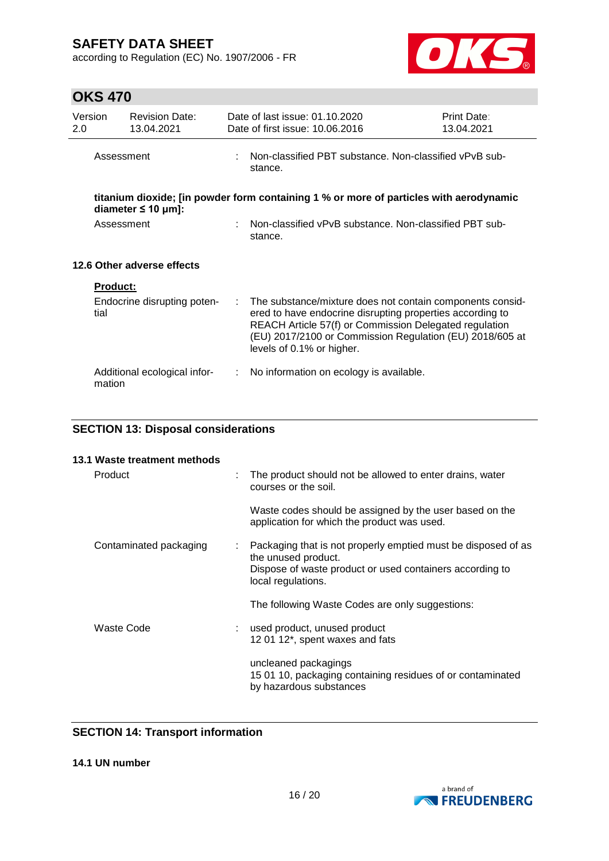according to Regulation (EC) No. 1907/2006 - FR



# **OKS 470**

| Version<br>2.0 |                 | <b>Revision Date:</b><br>13.04.2021 |                                                                     | Date of last issue: 01.10.2020<br>Date of first issue: 10.06.2016                                                                                                                                                                                                         | Print Date:<br>13.04.2021 |  |  |
|----------------|-----------------|-------------------------------------|---------------------------------------------------------------------|---------------------------------------------------------------------------------------------------------------------------------------------------------------------------------------------------------------------------------------------------------------------------|---------------------------|--|--|
|                | Assessment      |                                     | : Non-classified PBT substance. Non-classified vPvB sub-<br>stance. |                                                                                                                                                                                                                                                                           |                           |  |  |
|                |                 | diameter $\leq 10 \mu m$ ]:         |                                                                     | titanium dioxide; [in powder form containing 1 % or more of particles with aerodynamic                                                                                                                                                                                    |                           |  |  |
|                | Assessment      |                                     |                                                                     | Non-classified vPvB substance. Non-classified PBT sub-<br>stance.                                                                                                                                                                                                         |                           |  |  |
|                |                 | 12.6 Other adverse effects          |                                                                     |                                                                                                                                                                                                                                                                           |                           |  |  |
|                | <b>Product:</b> |                                     |                                                                     |                                                                                                                                                                                                                                                                           |                           |  |  |
|                | tial            | Endocrine disrupting poten-         | ÷.                                                                  | The substance/mixture does not contain components consid-<br>ered to have endocrine disrupting properties according to<br>REACH Article 57(f) or Commission Delegated regulation<br>(EU) 2017/2100 or Commission Regulation (EU) 2018/605 at<br>levels of 0.1% or higher. |                           |  |  |
|                | mation          | Additional ecological infor-        | ÷.                                                                  | No information on ecology is available.                                                                                                                                                                                                                                   |                           |  |  |

# **SECTION 13: Disposal considerations**

| 13.1 Waste treatment methods |   |                                                                                                                                                                        |
|------------------------------|---|------------------------------------------------------------------------------------------------------------------------------------------------------------------------|
| Product                      |   | The product should not be allowed to enter drains, water<br>courses or the soil.                                                                                       |
|                              |   | Waste codes should be assigned by the user based on the<br>application for which the product was used.                                                                 |
| Contaminated packaging       | ÷ | Packaging that is not properly emptied must be disposed of as<br>the unused product.<br>Dispose of waste product or used containers according to<br>local regulations. |
|                              |   | The following Waste Codes are only suggestions:                                                                                                                        |
| Waste Code                   |   | used product, unused product<br>12 01 12*, spent waxes and fats                                                                                                        |
|                              |   | uncleaned packagings<br>15 01 10, packaging containing residues of or contaminated<br>by hazardous substances                                                          |

## **SECTION 14: Transport information**

**14.1 UN number**

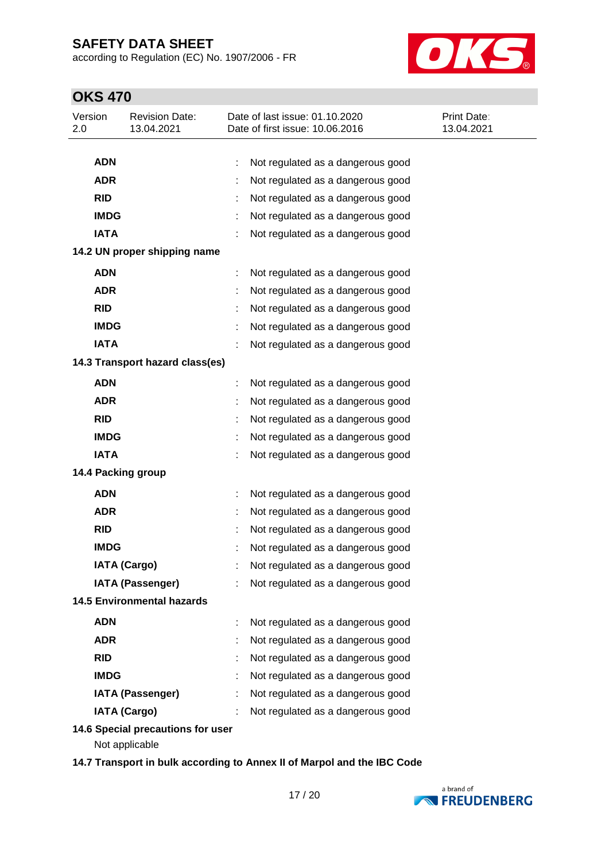according to Regulation (EC) No. 1907/2006 - FR



# **OKS 470**

| Version<br>2.0 | <b>Revision Date:</b><br>13.04.2021                 | Date of last issue: 01.10.2020<br>Date of first issue: 10.06.2016 | Print Date:<br>13.04.2021 |
|----------------|-----------------------------------------------------|-------------------------------------------------------------------|---------------------------|
| <b>ADN</b>     |                                                     | Not regulated as a dangerous good<br>t                            |                           |
| <b>ADR</b>     |                                                     | Not regulated as a dangerous good                                 |                           |
| <b>RID</b>     |                                                     | Not regulated as a dangerous good                                 |                           |
| <b>IMDG</b>    |                                                     | Not regulated as a dangerous good                                 |                           |
| <b>IATA</b>    |                                                     | Not regulated as a dangerous good                                 |                           |
|                | 14.2 UN proper shipping name                        |                                                                   |                           |
| <b>ADN</b>     |                                                     | Not regulated as a dangerous good                                 |                           |
| <b>ADR</b>     |                                                     | Not regulated as a dangerous good                                 |                           |
| <b>RID</b>     |                                                     | Not regulated as a dangerous good                                 |                           |
| <b>IMDG</b>    |                                                     | Not regulated as a dangerous good                                 |                           |
| <b>IATA</b>    |                                                     | Not regulated as a dangerous good                                 |                           |
|                | 14.3 Transport hazard class(es)                     |                                                                   |                           |
| <b>ADN</b>     |                                                     | Not regulated as a dangerous good                                 |                           |
| <b>ADR</b>     |                                                     | Not regulated as a dangerous good                                 |                           |
| <b>RID</b>     |                                                     | Not regulated as a dangerous good                                 |                           |
| <b>IMDG</b>    |                                                     | Not regulated as a dangerous good                                 |                           |
| <b>IATA</b>    |                                                     | Not regulated as a dangerous good                                 |                           |
|                | 14.4 Packing group                                  |                                                                   |                           |
| <b>ADN</b>     |                                                     | Not regulated as a dangerous good<br>÷                            |                           |
| <b>ADR</b>     |                                                     | Not regulated as a dangerous good                                 |                           |
| <b>RID</b>     |                                                     | Not regulated as a dangerous good                                 |                           |
| <b>IMDG</b>    |                                                     | Not regulated as a dangerous good                                 |                           |
|                | <b>IATA (Cargo)</b>                                 | Not regulated as a dangerous good                                 |                           |
|                | <b>IATA (Passenger)</b>                             | Not regulated as a dangerous good                                 |                           |
|                | <b>14.5 Environmental hazards</b>                   |                                                                   |                           |
| <b>ADN</b>     |                                                     | Not regulated as a dangerous good                                 |                           |
| <b>ADR</b>     |                                                     | Not regulated as a dangerous good                                 |                           |
| <b>RID</b>     |                                                     | Not regulated as a dangerous good                                 |                           |
| <b>IMDG</b>    |                                                     | Not regulated as a dangerous good                                 |                           |
|                | <b>IATA (Passenger)</b>                             | Not regulated as a dangerous good                                 |                           |
|                | <b>IATA (Cargo)</b>                                 | Not regulated as a dangerous good                                 |                           |
|                | 14.6 Special precautions for user<br>Not applicable |                                                                   |                           |

**14.7 Transport in bulk according to Annex II of Marpol and the IBC Code**

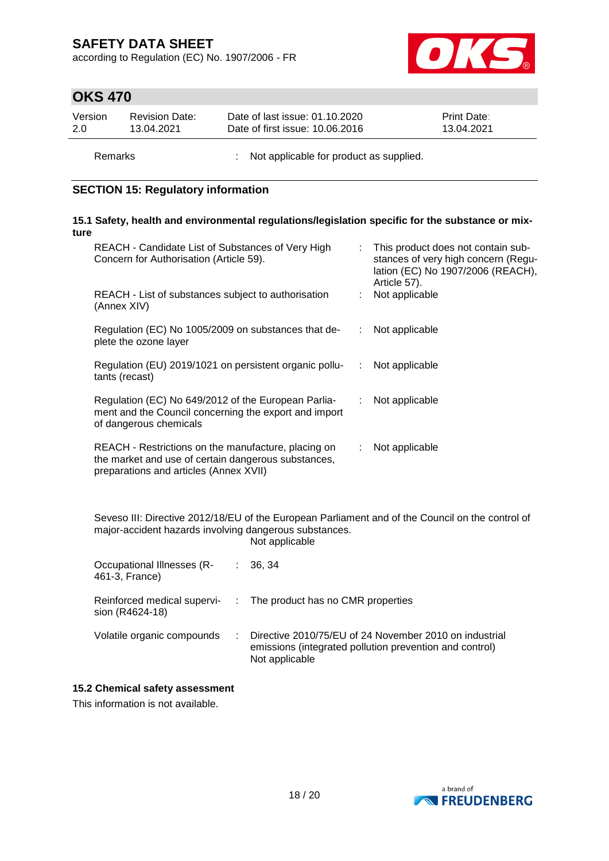according to Regulation (EC) No. 1907/2006 - FR



# **OKS 470**

| Version | <b>Revision Date:</b> | Date of last issue: 01.10.2020  | <b>Print Date:</b> |
|---------|-----------------------|---------------------------------|--------------------|
| 2.0     | 13.04.2021            | Date of first issue: 10.06.2016 | 13.04.2021         |
|         |                       |                                 |                    |

Remarks : Not applicable for product as supplied.

### **SECTION 15: Regulatory information**

#### **15.1 Safety, health and environmental regulations/legislation specific for the substance or mixture**

| REACH - Candidate List of Substances of Very High<br>Concern for Authorisation (Article 59).                                                         |    | : This product does not contain sub-<br>stances of very high concern (Regu-<br>lation (EC) No 1907/2006 (REACH),<br>Article 57). |
|------------------------------------------------------------------------------------------------------------------------------------------------------|----|----------------------------------------------------------------------------------------------------------------------------------|
| REACH - List of substances subject to authorisation<br>(Annex XIV)                                                                                   |    | Not applicable                                                                                                                   |
| Regulation (EC) No 1005/2009 on substances that de-<br>plete the ozone layer                                                                         | ÷. | Not applicable                                                                                                                   |
| Regulation (EU) 2019/1021 on persistent organic pollu-<br>tants (recast)                                                                             | ÷. | Not applicable                                                                                                                   |
| Regulation (EC) No 649/2012 of the European Parlia-<br>ment and the Council concerning the export and import<br>of dangerous chemicals               | ÷. | Not applicable                                                                                                                   |
| REACH - Restrictions on the manufacture, placing on<br>the market and use of certain dangerous substances,<br>preparations and articles (Annex XVII) | ÷. | Not applicable                                                                                                                   |

Seveso III: Directive 2012/18/EU of the European Parliament and of the Council on the control of major-accident hazards involving dangerous substances. Not applicable

| Occupational Illnesses (R-<br>461-3, France)   | : 36.34                                                                                                                             |
|------------------------------------------------|-------------------------------------------------------------------------------------------------------------------------------------|
| Reinforced medical supervi-<br>sion (R4624-18) | : The product has no CMR properties                                                                                                 |
| Volatile organic compounds                     | Directive 2010/75/EU of 24 November 2010 on industrial<br>emissions (integrated pollution prevention and control)<br>Not applicable |

### **15.2 Chemical safety assessment**

This information is not available.

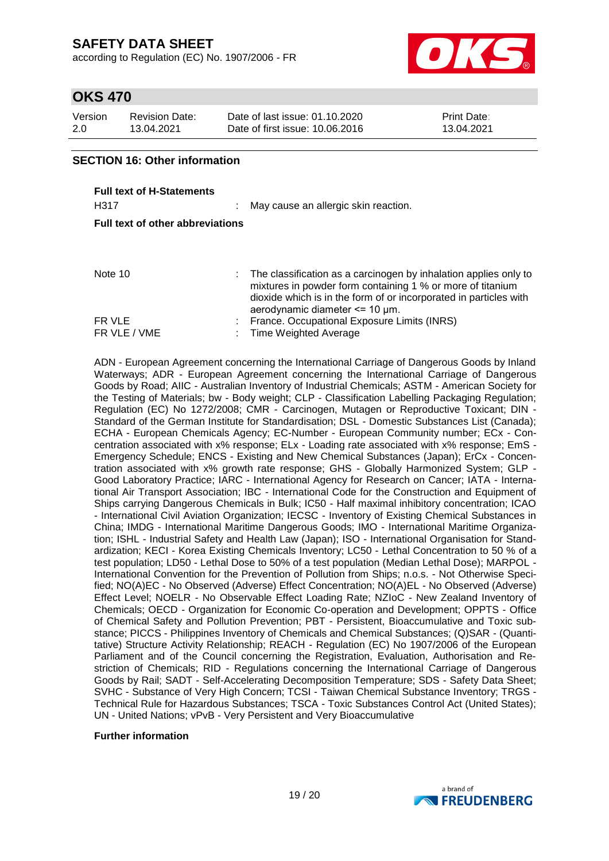according to Regulation (EC) No. 1907/2006 - FR



# **OKS 470**

| Version | <b>Revision Date:</b> | Date of last issue: 01.10.2020  | <b>Print Date:</b> |
|---------|-----------------------|---------------------------------|--------------------|
| 2.0     | 13.04.2021            | Date of first issue: 10.06.2016 | 13.04.2021         |

### **SECTION 16: Other information**

| <b>Full text of H-Statements</b><br>H317 |  | May cause an allergic skin reaction.                                                                                                                                                                                                                   |  |  |  |  |  |
|------------------------------------------|--|--------------------------------------------------------------------------------------------------------------------------------------------------------------------------------------------------------------------------------------------------------|--|--|--|--|--|
|                                          |  |                                                                                                                                                                                                                                                        |  |  |  |  |  |
| <b>Full text of other abbreviations</b>  |  |                                                                                                                                                                                                                                                        |  |  |  |  |  |
|                                          |  |                                                                                                                                                                                                                                                        |  |  |  |  |  |
| Note 10                                  |  | $\therefore$ The classification as a carcinogen by inhalation applies only to<br>mixtures in powder form containing 1 % or more of titanium<br>dioxide which is in the form of or incorporated in particles with<br>aerodynamic diameter $\leq$ 10 µm. |  |  |  |  |  |
| FR VLE                                   |  | France. Occupational Exposure Limits (INRS)                                                                                                                                                                                                            |  |  |  |  |  |
| FR VLE / VME                             |  | Time Weighted Average                                                                                                                                                                                                                                  |  |  |  |  |  |

ADN - European Agreement concerning the International Carriage of Dangerous Goods by Inland Waterways; ADR - European Agreement concerning the International Carriage of Dangerous Goods by Road; AIIC - Australian Inventory of Industrial Chemicals; ASTM - American Society for the Testing of Materials; bw - Body weight; CLP - Classification Labelling Packaging Regulation; Regulation (EC) No 1272/2008; CMR - Carcinogen, Mutagen or Reproductive Toxicant; DIN - Standard of the German Institute for Standardisation; DSL - Domestic Substances List (Canada); ECHA - European Chemicals Agency; EC-Number - European Community number; ECx - Concentration associated with x% response; ELx - Loading rate associated with x% response; EmS - Emergency Schedule; ENCS - Existing and New Chemical Substances (Japan); ErCx - Concentration associated with x% growth rate response; GHS - Globally Harmonized System; GLP - Good Laboratory Practice; IARC - International Agency for Research on Cancer; IATA - International Air Transport Association; IBC - International Code for the Construction and Equipment of Ships carrying Dangerous Chemicals in Bulk; IC50 - Half maximal inhibitory concentration; ICAO - International Civil Aviation Organization; IECSC - Inventory of Existing Chemical Substances in China; IMDG - International Maritime Dangerous Goods; IMO - International Maritime Organization; ISHL - Industrial Safety and Health Law (Japan); ISO - International Organisation for Standardization; KECI - Korea Existing Chemicals Inventory; LC50 - Lethal Concentration to 50 % of a test population; LD50 - Lethal Dose to 50% of a test population (Median Lethal Dose); MARPOL - International Convention for the Prevention of Pollution from Ships; n.o.s. - Not Otherwise Specified; NO(A)EC - No Observed (Adverse) Effect Concentration; NO(A)EL - No Observed (Adverse) Effect Level; NOELR - No Observable Effect Loading Rate; NZIoC - New Zealand Inventory of Chemicals; OECD - Organization for Economic Co-operation and Development; OPPTS - Office of Chemical Safety and Pollution Prevention; PBT - Persistent, Bioaccumulative and Toxic substance; PICCS - Philippines Inventory of Chemicals and Chemical Substances; (Q)SAR - (Quantitative) Structure Activity Relationship; REACH - Regulation (EC) No 1907/2006 of the European Parliament and of the Council concerning the Registration, Evaluation, Authorisation and Restriction of Chemicals; RID - Regulations concerning the International Carriage of Dangerous Goods by Rail; SADT - Self-Accelerating Decomposition Temperature; SDS - Safety Data Sheet; SVHC - Substance of Very High Concern; TCSI - Taiwan Chemical Substance Inventory; TRGS - Technical Rule for Hazardous Substances; TSCA - Toxic Substances Control Act (United States); UN - United Nations; vPvB - Very Persistent and Very Bioaccumulative

#### **Further information**